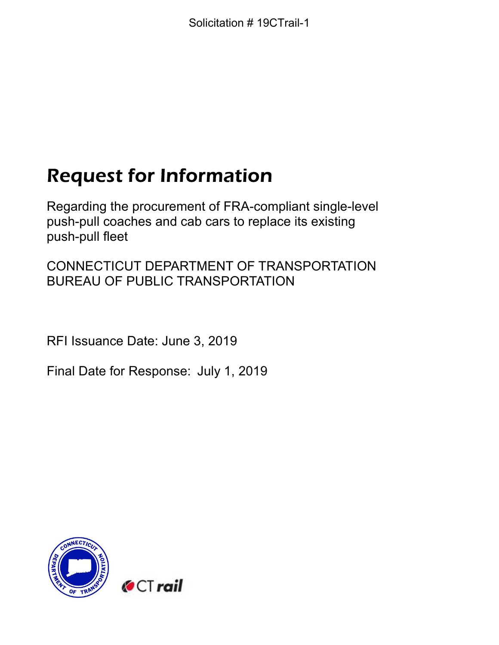# Request for Information

Regarding the procurement of FRA-compliant single-level push-pull coaches and cab cars to replace its existing push-pull fleet

CONNECTICUT DEPARTMENT OF TRANSPORTATION BUREAU OF PUBLIC TRANSPORTATION

RFI Issuance Date: June 3, 2019

Final Date for Response: July 1, 2019



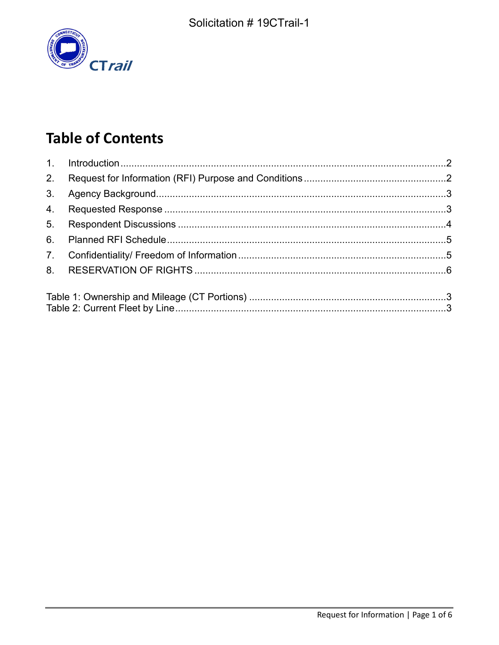

# **Table of Contents**

| 2.             |  |  |  |  |  |
|----------------|--|--|--|--|--|
| 3 <sub>l</sub> |  |  |  |  |  |
| 4.             |  |  |  |  |  |
| 5 <sub>1</sub> |  |  |  |  |  |
| 6.             |  |  |  |  |  |
| 7 <sub>1</sub> |  |  |  |  |  |
|                |  |  |  |  |  |
|                |  |  |  |  |  |
|                |  |  |  |  |  |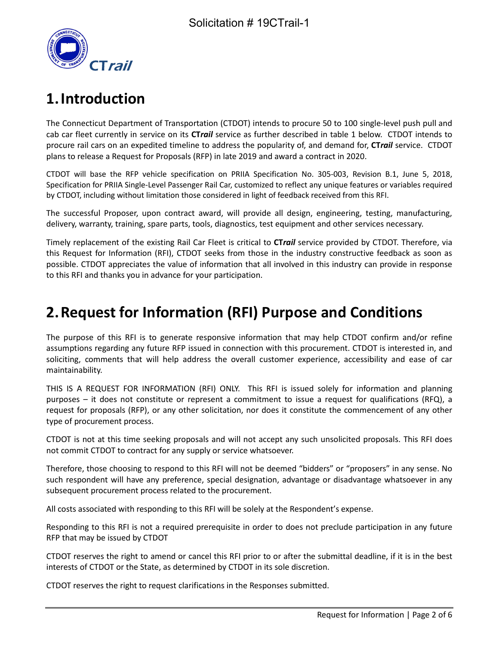

# **1.Introduction**

The Connecticut Department of Transportation (CTDOT) intends to procure 50 to 100 single-level push pull and cab car fleet currently in service on its **CT***rail* service as further described in table 1 below. CTDOT intends to procure rail cars on an expedited timeline to address the popularity of, and demand for, **CT***rail* service. CTDOT plans to release a Request for Proposals (RFP) in late 2019 and award a contract in 2020.

CTDOT will base the RFP vehicle specification on PRIIA Specification No. 305-003, Revision B.1, June 5, 2018, Specification for PRIIA Single-Level Passenger Rail Car, customized to reflect any unique features or variables required by CTDOT, including without limitation those considered in light of feedback received from this RFI.

The successful Proposer, upon contract award, will provide all design, engineering, testing, manufacturing, delivery, warranty, training, spare parts, tools, diagnostics, test equipment and other services necessary.

Timely replacement of the existing Rail Car Fleet is critical to **CT***rail* service provided by CTDOT. Therefore, via this Request for Information (RFI), CTDOT seeks from those in the industry constructive feedback as soon as possible. CTDOT appreciates the value of information that all involved in this industry can provide in response to this RFI and thanks you in advance for your participation.

# **2.Request for Information (RFI) Purpose and Conditions**

The purpose of this RFI is to generate responsive information that may help CTDOT confirm and/or refine assumptions regarding any future RFP issued in connection with this procurement. CTDOT is interested in, and soliciting, comments that will help address the overall customer experience, accessibility and ease of car maintainability.

THIS IS A REQUEST FOR INFORMATION (RFI) ONLY. This RFI is issued solely for information and planning purposes – it does not constitute or represent a commitment to issue a request for qualifications (RFQ), a request for proposals (RFP), or any other solicitation, nor does it constitute the commencement of any other type of procurement process.

CTDOT is not at this time seeking proposals and will not accept any such unsolicited proposals. This RFI does not commit CTDOT to contract for any supply or service whatsoever.

Therefore, those choosing to respond to this RFI will not be deemed "bidders" or "proposers" in any sense. No such respondent will have any preference, special designation, advantage or disadvantage whatsoever in any subsequent procurement process related to the procurement.

All costs associated with responding to this RFI will be solely at the Respondent's expense.

Responding to this RFI is not a required prerequisite in order to does not preclude participation in any future RFP that may be issued by CTDOT

CTDOT reserves the right to amend or cancel this RFI prior to or after the submittal deadline, if it is in the best interests of CTDOT or the State, as determined by CTDOT in its sole discretion.

CTDOT reserves the right to request clarifications in the Responses submitted.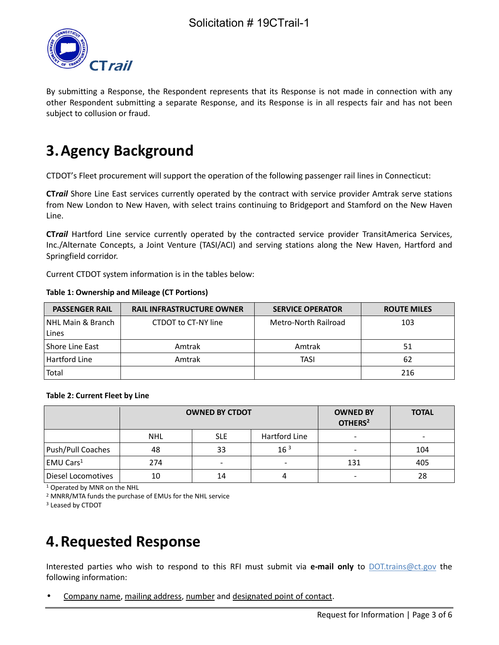

By submitting a Response, the Respondent represents that its Response is not made in connection with any other Respondent submitting a separate Response, and its Response is in all respects fair and has not been subject to collusion or fraud.

# **3.Agency Background**

CTDOT's Fleet procurement will support the operation of the following passenger rail lines in Connecticut:

**CT***rail* Shore Line East services currently operated by the contract with service provider Amtrak serve stations from New London to New Haven, with select trains continuing to Bridgeport and Stamford on the New Haven Line.

**CT***rail* Hartford Line service currently operated by the contracted service provider TransitAmerica Services, Inc./Alternate Concepts, a Joint Venture (TASI/ACI) and serving stations along the New Haven, Hartford and Springfield corridor.

Current CTDOT system information is in the tables below:

| <b>PASSENGER RAIL</b>      | <b>RAIL INFRASTRUCTURE OWNER</b> | <b>SERVICE OPERATOR</b> | <b>ROUTE MILES</b> |
|----------------------------|----------------------------------|-------------------------|--------------------|
| NHL Main & Branch<br>Lines | CTDOT to CT-NY line              | Metro-North Railroad    | 103                |
| Shore Line East            | Amtrak                           | Amtrak                  | 51                 |
| Hartford Line              | Amtrak                           | TASI                    | 62                 |
| Total                      |                                  |                         | 216                |

#### **Table 1: Ownership and Mileage (CT Portions)**

#### **Table 2: Current Fleet by Line**

|                         | <b>OWNED BY CTDOT</b> |                          |                 | <b>OWNED BY</b><br>OTHERS <sup>2</sup> | <b>TOTAL</b> |
|-------------------------|-----------------------|--------------------------|-----------------|----------------------------------------|--------------|
|                         | <b>NHL</b>            | <b>SLE</b>               | Hartford Line   | $\overline{\phantom{0}}$               |              |
| Push/Pull Coaches       | 48                    | 33                       | 16 <sup>3</sup> |                                        | 104          |
| $EMU$ Cars <sup>1</sup> | 274                   | $\overline{\phantom{a}}$ | -               | 131                                    | 405          |
| Diesel Locomotives      | 10                    | 14                       | 4               | $\overline{\phantom{0}}$               | 28           |

1 Operated by MNR on the NHL

2 MNRR/MTA funds the purchase of EMUs for the NHL service

3 Leased by CTDOT

# **4.Requested Response**

Interested parties who wish to respond to this RFI must submit via **e-mail only** to DOT.trains@ct.gov the following information:

Company name, mailing address, number and designated point of contact.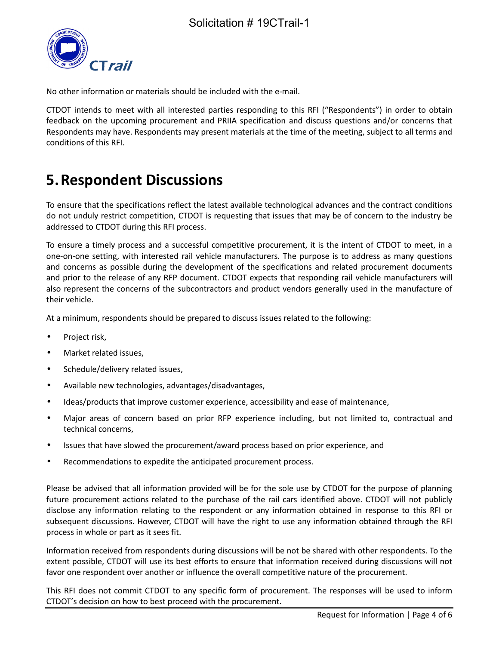

No other information or materials should be included with the e-mail.

CTDOT intends to meet with all interested parties responding to this RFI ("Respondents") in order to obtain feedback on the upcoming procurement and PRIIA specification and discuss questions and/or concerns that Respondents may have. Respondents may present materials at the time of the meeting, subject to all terms and conditions of this RFI.

### **5.Respondent Discussions**

To ensure that the specifications reflect the latest available technological advances and the contract conditions do not unduly restrict competition, CTDOT is requesting that issues that may be of concern to the industry be addressed to CTDOT during this RFI process.

To ensure a timely process and a successful competitive procurement, it is the intent of CTDOT to meet, in a one-on-one setting, with interested rail vehicle manufacturers. The purpose is to address as many questions and concerns as possible during the development of the specifications and related procurement documents and prior to the release of any RFP document. CTDOT expects that responding rail vehicle manufacturers will also represent the concerns of the subcontractors and product vendors generally used in the manufacture of their vehicle.

At a minimum, respondents should be prepared to discuss issues related to the following:

- Project risk,
- Market related issues,
- Schedule/delivery related issues,
- Available new technologies, advantages/disadvantages,
- Ideas/products that improve customer experience, accessibility and ease of maintenance,
- Major areas of concern based on prior RFP experience including, but not limited to, contractual and technical concerns,
- Issues that have slowed the procurement/award process based on prior experience, and
- Recommendations to expedite the anticipated procurement process.

Please be advised that all information provided will be for the sole use by CTDOT for the purpose of planning future procurement actions related to the purchase of the rail cars identified above. CTDOT will not publicly disclose any information relating to the respondent or any information obtained in response to this RFI or subsequent discussions. However, CTDOT will have the right to use any information obtained through the RFI process in whole or part as it sees fit.

Information received from respondents during discussions will be not be shared with other respondents. To the extent possible, CTDOT will use its best efforts to ensure that information received during discussions will not favor one respondent over another or influence the overall competitive nature of the procurement.

This RFI does not commit CTDOT to any specific form of procurement. The responses will be used to inform CTDOT's decision on how to best proceed with the procurement.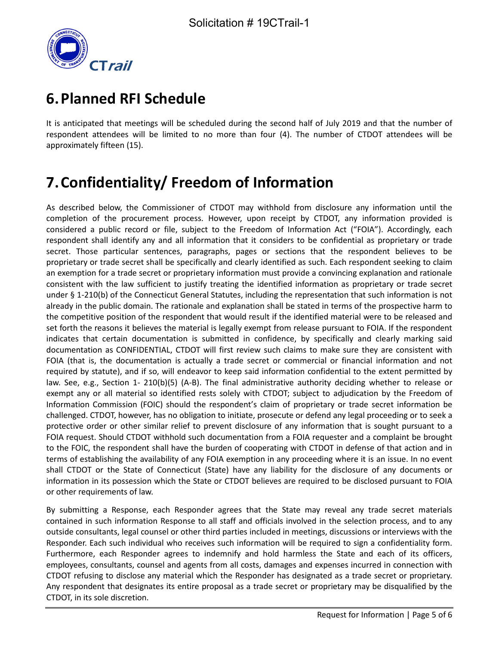

# **6.Planned RFI Schedule**

It is anticipated that meetings will be scheduled during the second half of July 2019 and that the number of respondent attendees will be limited to no more than four (4). The number of CTDOT attendees will be approximately fifteen (15).

# **7.Confidentiality/ Freedom of Information**

As described below, the Commissioner of CTDOT may withhold from disclosure any information until the completion of the procurement process. However, upon receipt by CTDOT, any information provided is considered a public record or file, subject to the Freedom of Information Act ("FOIA"). Accordingly, each respondent shall identify any and all information that it considers to be confidential as proprietary or trade secret. Those particular sentences, paragraphs, pages or sections that the respondent believes to be proprietary or trade secret shall be specifically and clearly identified as such. Each respondent seeking to claim an exemption for a trade secret or proprietary information must provide a convincing explanation and rationale consistent with the law sufficient to justify treating the identified information as proprietary or trade secret under § 1-210(b) of the Connecticut General Statutes, including the representation that such information is not already in the public domain. The rationale and explanation shall be stated in terms of the prospective harm to the competitive position of the respondent that would result if the identified material were to be released and set forth the reasons it believes the material is legally exempt from release pursuant to FOIA. If the respondent indicates that certain documentation is submitted in confidence, by specifically and clearly marking said documentation as CONFIDENTIAL, CTDOT will first review such claims to make sure they are consistent with FOIA (that is, the documentation is actually a trade secret or commercial or financial information and not required by statute), and if so, will endeavor to keep said information confidential to the extent permitted by law. See, e.g., Section 1- 210(b)(5) (A-B). The final administrative authority deciding whether to release or exempt any or all material so identified rests solely with CTDOT; subject to adjudication by the Freedom of Information Commission (FOIC) should the respondent's claim of proprietary or trade secret information be challenged. CTDOT, however, has no obligation to initiate, prosecute or defend any legal proceeding or to seek a protective order or other similar relief to prevent disclosure of any information that is sought pursuant to a FOIA request. Should CTDOT withhold such documentation from a FOIA requester and a complaint be brought to the FOIC, the respondent shall have the burden of cooperating with CTDOT in defense of that action and in terms of establishing the availability of any FOIA exemption in any proceeding where it is an issue. In no event shall CTDOT or the State of Connecticut (State) have any liability for the disclosure of any documents or information in its possession which the State or CTDOT believes are required to be disclosed pursuant to FOIA or other requirements of law.

By submitting a Response, each Responder agrees that the State may reveal any trade secret materials contained in such information Response to all staff and officials involved in the selection process, and to any outside consultants, legal counsel or other third parties included in meetings, discussions or interviews with the Responder. Each such individual who receives such information will be required to sign a confidentiality form. Furthermore, each Responder agrees to indemnify and hold harmless the State and each of its officers, employees, consultants, counsel and agents from all costs, damages and expenses incurred in connection with CTDOT refusing to disclose any material which the Responder has designated as a trade secret or proprietary. Any respondent that designates its entire proposal as a trade secret or proprietary may be disqualified by the CTDOT, in its sole discretion.